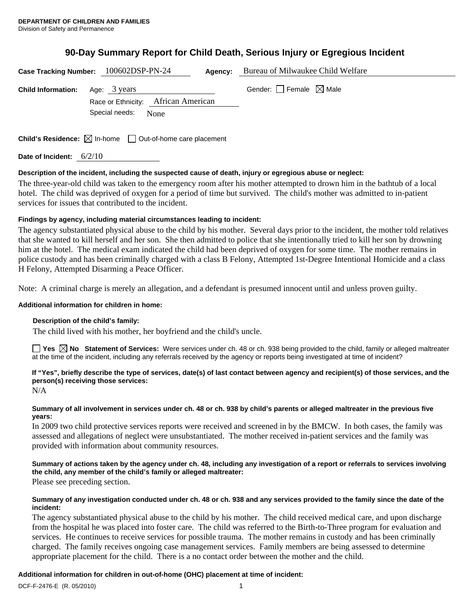# **90-Day Summary Report for Child Death, Serious Injury or Egregious Incident**

| Case Tracking Number: 100602DSP-PN-24 |                                                                                 | Agency: | Bureau of Milwaukee Child Welfare |
|---------------------------------------|---------------------------------------------------------------------------------|---------|-----------------------------------|
| <b>Child Information:</b>             | Age: 3 years<br>Race or Ethnicity: African American<br>Special needs:<br>None   |         | Gender: Female $\boxtimes$ Male   |
|                                       | <b>Child's Residence:</b> $\boxtimes$ In-home $\Box$ Out-of-home care placement |         |                                   |

**Date of Incident:** 6/2/10

# **Description of the incident, including the suspected cause of death, injury or egregious abuse or neglect:**

The three-year-old child was taken to the emergency room after his mother attempted to drown him in the bathtub of a local hotel. The child was deprived of oxygen for a period of time but survived. The child's mother was admitted to in-patient services for issues that contributed to the incident.

# **Findings by agency, including material circumstances leading to incident:**

The agency substantiated physical abuse to the child by his mother. Several days prior to the incident, the mother told relatives that she wanted to kill herself and her son. She then admitted to police that she intentionally tried to kill her son by drowning him at the hotel. The medical exam indicated the child had been deprived of oxygen for some time. The mother remains in police custody and has been criminally charged with a class B Felony, Attempted 1st-Degree Intentional Homicide and a class H Felony, Attempted Disarming a Peace Officer.

Note: A criminal charge is merely an allegation, and a defendant is presumed innocent until and unless proven guilty.

#### **Additional information for children in home:**

#### **Description of the child's family:**

The child lived with his mother, her boyfriend and the child's uncle.

**Yes No Statement of Services:** Were services under ch. 48 or ch. 938 being provided to the child, family or alleged maltreater at the time of the incident, including any referrals received by the agency or reports being investigated at time of incident?

# **If "Yes", briefly describe the type of services, date(s) of last contact between agency and recipient(s) of those services, and the person(s) receiving those services:**

N/A

#### **Summary of all involvement in services under ch. 48 or ch. 938 by child's parents or alleged maltreater in the previous five years:**

In 2009 two child protective services reports were received and screened in by the BMCW. In both cases, the family was assessed and allegations of neglect were unsubstantiated. The mother received in-patient services and the family was provided with information about community resources.

# **Summary of actions taken by the agency under ch. 48, including any investigation of a report or referrals to services involving the child, any member of the child's family or alleged maltreater:**

Please see preceding section.

#### **Summary of any investigation conducted under ch. 48 or ch. 938 and any services provided to the family since the date of the incident:**

The agency substantiated physical abuse to the child by his mother. The child received medical care, and upon discharge from the hospital he was placed into foster care. The child was referred to the Birth-to-Three program for evaluation and services. He continues to receive services for possible trauma. The mother remains in custody and has been criminally charged. The family receives ongoing case management services. Family members are being assessed to determine appropriate placement for the child. There is a no contact order between the mother and the child.

# **Additional information for children in out-of-home (OHC) placement at time of incident:**